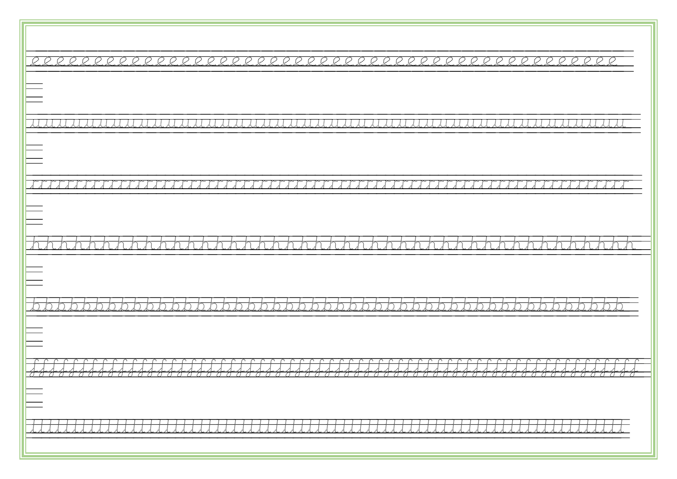| <u> TITILITITITITITITITITITITITI</u><br>an na mara<br>an na mara<br>at a<br>al dal del<br>and and a<br>-11 |
|------------------------------------------------------------------------------------------------------------|
|                                                                                                            |
|                                                                                                            |
|                                                                                                            |
|                                                                                                            |
|                                                                                                            |
|                                                                                                            |
|                                                                                                            |
|                                                                                                            |
|                                                                                                            |
|                                                                                                            |
|                                                                                                            |
|                                                                                                            |

- I r